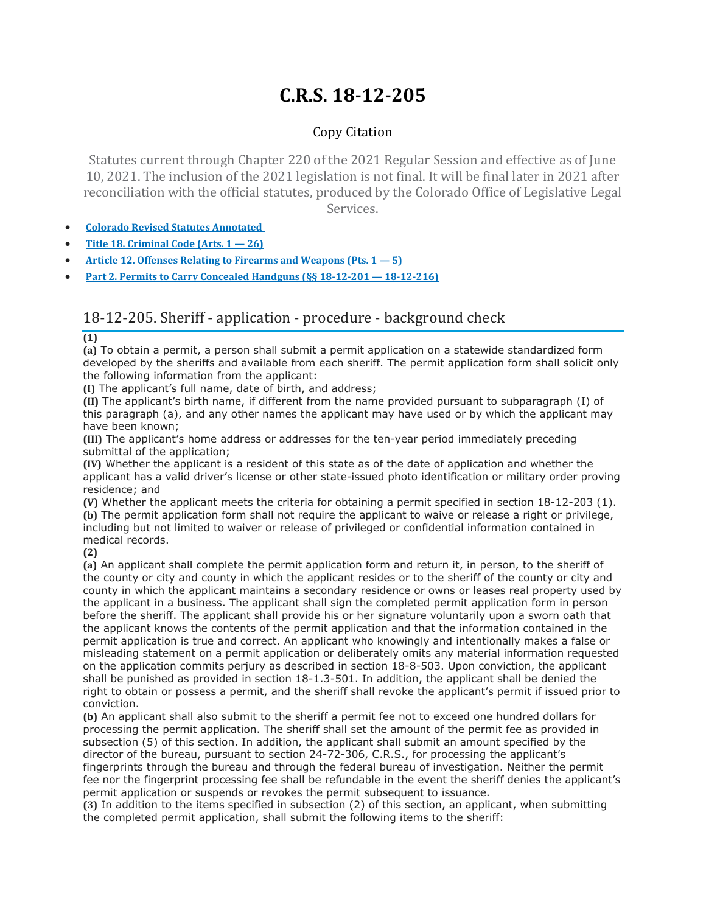## **C.R.S. 18-12-205**

## Copy Citation

Statutes current through Chapter 220 of the 2021 Regular Session and effective as of June 10, 2021. The inclusion of the 2021 legislation is not final. It will be final later in 2021 after reconciliation with the official statutes, produced by the Colorado Office of Legislative Legal Services.

- **Colorado Revised Statutes [Annotated](https://advance.lexis.com/documentpage/?pdmfid=1000516&crid=03153b0b-0467-4c45-9409-c3898c853f54&pdistocdocslideraccess=true&config=014FJAAyNGJkY2Y4Zi1mNjgyLTRkN2YtYmE4OS03NTYzNzYzOTg0OGEKAFBvZENhdGFsb2d592qv2Kywlf8caKqYROP5&pddocfullpath=%2Fshared%2Fdocument%2Fstatutes-legislation%2Furn%3AcontentItem%3A61P5-WSW1-DYDC-J3D0-00008-00&pdcomponentid=234177&pdtocnodeidentifier=AASAAWAACAAF&ecomp=sssdkkk&prid=30c81b72-3d64-4922-8ce6-61b13d974783)**
- **Title 18. [Criminal](https://advance.lexis.com/documentpage/?pdmfid=1000516&crid=03153b0b-0467-4c45-9409-c3898c853f54&pdistocdocslideraccess=true&config=014FJAAyNGJkY2Y4Zi1mNjgyLTRkN2YtYmE4OS03NTYzNzYzOTg0OGEKAFBvZENhdGFsb2d592qv2Kywlf8caKqYROP5&pddocfullpath=%2Fshared%2Fdocument%2Fstatutes-legislation%2Furn%3AcontentItem%3A61P5-WSW1-DYDC-J3D0-00008-00&pdcomponentid=234177&pdtocnodeidentifier=AASAAWAACAAF&ecomp=sssdkkk&prid=30c81b72-3d64-4922-8ce6-61b13d974783) Code (Arts. 1 — 26)**
- **Article 12. Offenses Relating to Firearms and [Weapons](https://advance.lexis.com/documentpage/?pdmfid=1000516&crid=03153b0b-0467-4c45-9409-c3898c853f54&pdistocdocslideraccess=true&config=014FJAAyNGJkY2Y4Zi1mNjgyLTRkN2YtYmE4OS03NTYzNzYzOTg0OGEKAFBvZENhdGFsb2d592qv2Kywlf8caKqYROP5&pddocfullpath=%2Fshared%2Fdocument%2Fstatutes-legislation%2Furn%3AcontentItem%3A61P5-WSW1-DYDC-J3D0-00008-00&pdcomponentid=234177&pdtocnodeidentifier=AASAAWAACAAF&ecomp=sssdkkk&prid=30c81b72-3d64-4922-8ce6-61b13d974783) (Pts. 1 — 5)**
- **Part 2. Permits to Carry Concealed Handguns (§§ 18-12-201 — [18-12-216\)](https://advance.lexis.com/documentpage/?pdmfid=1000516&crid=03153b0b-0467-4c45-9409-c3898c853f54&pdistocdocslideraccess=true&config=014FJAAyNGJkY2Y4Zi1mNjgyLTRkN2YtYmE4OS03NTYzNzYzOTg0OGEKAFBvZENhdGFsb2d592qv2Kywlf8caKqYROP5&pddocfullpath=%2Fshared%2Fdocument%2Fstatutes-legislation%2Furn%3AcontentItem%3A61P5-WSW1-DYDC-J3D0-00008-00&pdcomponentid=234177&pdtocnodeidentifier=AASAAWAACAAF&ecomp=sssdkkk&prid=30c81b72-3d64-4922-8ce6-61b13d974783)**

## 18-12-205. Sheriff - application - procedure - background check

**(1)**

**(a)** To obtain a permit, a person shall submit a permit application on a statewide standardized form developed by the sheriffs and available from each sheriff. The permit application form shall solicit only the following information from the applicant:

**(I)** The applicant's full name, date of birth, and address;

**(II)** The applicant's birth name, if different from the name provided pursuant to subparagraph (I) of this paragraph (a), and any other names the applicant may have used or by which the applicant may have been known;

**(III)** The applicant's home address or addresses for the ten-year period immediately preceding submittal of the application;

**(IV)** Whether the applicant is a resident of this state as of the date of application and whether the applicant has a valid driver's license or other state-issued photo identification or military order proving residence; and

**(V)** Whether the applicant meets the criteria for obtaining a permit specified in section 18-12-203 (1). **(b)** The permit application form shall not require the applicant to waive or release a right or privilege, including but not limited to waiver or release of privileged or confidential information contained in medical records.

**(2)**

**(a)** An applicant shall complete the permit application form and return it, in person, to the sheriff of the county or city and county in which the applicant resides or to the sheriff of the county or city and county in which the applicant maintains a secondary residence or owns or leases real property used by the applicant in a business. The applicant shall sign the completed permit application form in person before the sheriff. The applicant shall provide his or her signature voluntarily upon a sworn oath that the applicant knows the contents of the permit application and that the information contained in the permit application is true and correct. An applicant who knowingly and intentionally makes a false or misleading statement on a permit application or deliberately omits any material information requested on the application commits perjury as described in section 18-8-503. Upon conviction, the applicant shall be punished as provided in section 18-1.3-501. In addition, the applicant shall be denied the right to obtain or possess a permit, and the sheriff shall revoke the applicant's permit if issued prior to conviction.

**(b)** An applicant shall also submit to the sheriff a permit fee not to exceed one hundred dollars for processing the permit application. The sheriff shall set the amount of the permit fee as provided in subsection (5) of this section. In addition, the applicant shall submit an amount specified by the director of the bureau, pursuant to section 24-72-306, C.R.S., for processing the applicant's fingerprints through the bureau and through the federal bureau of investigation. Neither the permit fee nor the fingerprint processing fee shall be refundable in the event the sheriff denies the applicant's permit application or suspends or revokes the permit subsequent to issuance.

**(3)** In addition to the items specified in subsection (2) of this section, an applicant, when submitting the completed permit application, shall submit the following items to the sheriff: